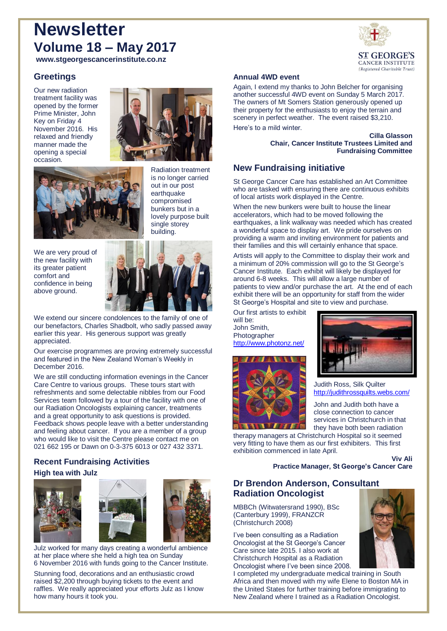# **Newsletter Volume 18 – May 2017**



**www.stgeorgescancerinstitute.co.nz**

# **Greetings**

Our new radiation treatment facility was opened by the former Prime Minister, John Key on Friday 4 November 2016. His relaxed and friendly manner made the opening a special occasion.





Radiation treatment is no longer carried out in our post earthquake compromised bunkers but in a lovely purpose built single storey building.

We are very proud of the new facility with its greater patient comfort and confidence in being above ground.



We extend our sincere condolences to the family of one of our benefactors, Charles Shadbolt, who sadly passed away earlier this year. His generous support was greatly appreciated.

Our exercise programmes are proving extremely successful and featured in the New Zealand Woman's Weekly in December 2016.

We are still conducting information evenings in the Cancer Care Centre to various groups. These tours start with refreshments and some delectable nibbles from our Food Services team followed by a tour of the facility with one of our Radiation Oncologists explaining cancer, treatments and a great opportunity to ask questions is provided. Feedback shows people leave with a better understanding and feeling about cancer. If you are a member of a group who would like to visit the Centre please contact me on 021 662 195 or Dawn on 0-3-375 6013 or 027 432 3371.

## **Recent Fundraising Activities High tea with Julz**







Julz worked for many days creating a wonderful ambience at her place where she held a high tea on Sunday 6 November 2016 with funds going to the Cancer Institute.

Stunning food, decorations and an enthusiastic crowd raised \$2,200 through buying tickets to the event and raffles. We really appreciated your efforts Julz as I know how many hours it took you.

## **Annual 4WD event**

Again, I extend my thanks to John Belcher for organising another successful 4WD event on Sunday 5 March 2017. The owners of Mt Somers Station generously opened up their property for the enthusiasts to enjoy the terrain and scenery in perfect weather. The event raised \$3,210.

Here's to a mild winter.

**Cilla Glasson Chair, Cancer Institute Trustees Limited and Fundraising Committee** 

## **New Fundraising initiative**

St George Cancer Care has established an Art Committee who are tasked with ensuring there are continuous exhibits of local artists work displayed in the Centre.

When the new bunkers were built to house the linear accelerators, which had to be moved following the earthquakes, a link walkway was needed which has created a wonderful space to display art. We pride ourselves on providing a warm and inviting environment for patients and their families and this will certainly enhance that space.

Artists will apply to the Committee to display their work and a minimum of 20% commission will go to the St George's Cancer Institute. Each exhibit will likely be displayed for around 6-8 weeks. This will allow a large number of patients to view and/or purchase the art. At the end of each exhibit there will be an opportunity for staff from the wider St George's Hospital and site to view and purchase.

Our first artists to exhibit will be: John Smith, Photographer <http://www.photonz.net/>





Judith Ross, Silk Quilter <http://judithrossquilts.webs.com/>

John and Judith both have a close connection to cancer services in Christchurch in that they have both been radiation

therapy managers at Christchurch Hospital so it seemed very fitting to have them as our first exhibiters. This first exhibition commenced in late April.

#### **Viv Ali Practice Manager, St George's Cancer Care**

## **Dr Brendon Anderson, Consultant Radiation Oncologist**

MBBCh (Witwatersrand 1990), BSc (Canterbury 1999), FRANZCR (Christchurch 2008)

I've been consulting as a Radiation Oncologist at the St George's Cancer Care since late 2015. I also work at Christchurch Hospital as a Radiation Oncologist where I've been since 2008.

I completed my undergraduate medical training in South Africa and then moved with my wife Elene to Boston MA in the United States for further training before immigrating to New Zealand where I trained as a Radiation Oncologist.